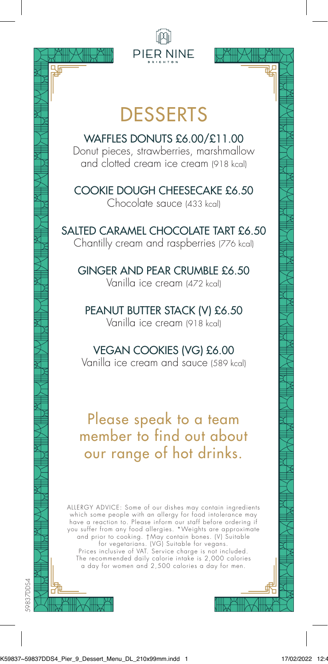